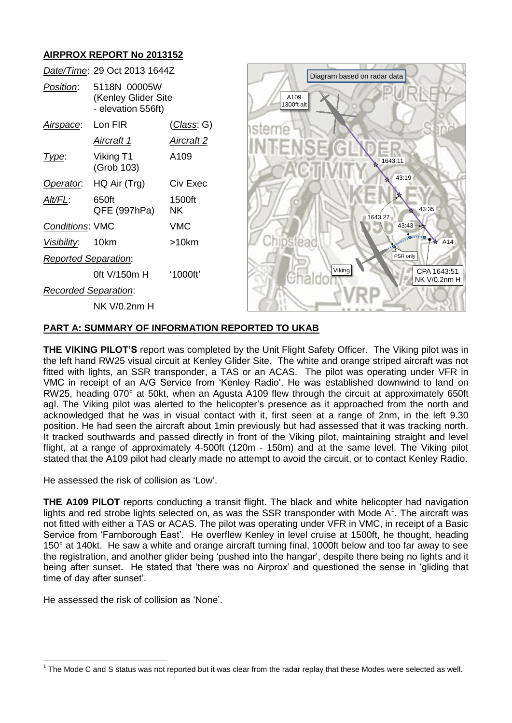# **AIRPROX REPORT No 2013152**



#### **PART A: SUMMARY OF INFORMATION REPORTED TO UKAB**

**THE VIKING PILOT'S** report was completed by the Unit Flight Safety Officer. The Viking pilot was in the left hand RW25 visual circuit at Kenley Glider Site. The white and orange striped aircraft was not fitted with lights, an SSR transponder, a TAS or an ACAS. The pilot was operating under VFR in VMC in receipt of an A/G Service from 'Kenley Radio'. He was established downwind to land on RW25, heading 070° at 50kt, when an Agusta A109 flew through the circuit at approximately 650ft agl. The Viking pilot was alerted to the helicopter's presence as it approached from the north and acknowledged that he was in visual contact with it, first seen at a range of 2nm, in the left 9.30 position. He had seen the aircraft about 1min previously but had assessed that it was tracking north. It tracked southwards and passed directly in front of the Viking pilot, maintaining straight and level flight, at a range of approximately 4-500ft (120m - 150m) and at the same level. The Viking pilot stated that the A109 pilot had clearly made no attempt to avoid the circuit, or to contact Kenley Radio.

He assessed the risk of collision as 'Low'.

**THE A109 PILOT** reports conducting a transit flight. The black and white helicopter had navigation lights and red strobe lights selected on, as was the SSR transponder with Mode  $A^1$ . The aircraft was not fitted with either a TAS or ACAS. The pilot was operating under VFR in VMC, in receipt of a Basic Service from 'Farnborough East'. He overflew Kenley in level cruise at 1500ft, he thought, heading 150° at 140kt. He saw a white and orange aircraft turning final, 1000ft below and too far away to see the registration, and another glider being 'pushed into the hangar', despite there being no lights and it being after sunset. He stated that 'there was no Airprox' and questioned the sense in 'gliding that time of day after sunset'.

He assessed the risk of collision as 'None'.

 $\overline{a}$  $1$  The Mode C and S status was not reported but it was clear from the radar replay that these Modes were selected as well.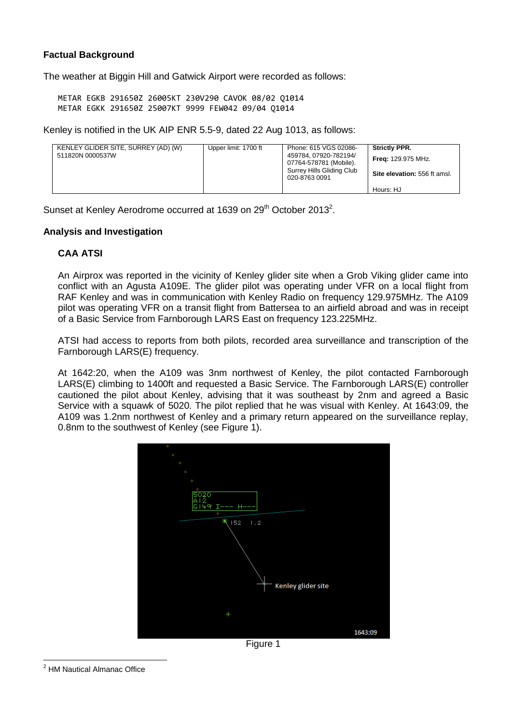## **Factual Background**

The weather at Biggin Hill and Gatwick Airport were recorded as follows:

METAR EGKB 291650Z 26005KT 230V290 CAVOK 08/02 Q1014 METAR EGKK 291650Z 25007KT 9999 FEW042 09/04 Q1014

Kenley is notified in the UK AIP ENR 5.5-9, dated 22 Aug 1013, as follows:

| KENLEY GLIDER SITE, SURREY (AD) (W)<br>511820N 0000537W | Upper limit: 1700 ft | Phone: 615 VGS 02086-<br>459784.07920-782194/<br>07764-578781 (Mobile).<br>Surrey Hills Gliding Club<br>020-8763 0091 | <b>Strictly PPR.</b><br><b>Freg: 129.975 MHz.</b><br>Site elevation: 556 ft amsl. |
|---------------------------------------------------------|----------------------|-----------------------------------------------------------------------------------------------------------------------|-----------------------------------------------------------------------------------|
|                                                         |                      |                                                                                                                       | Hours: HJ                                                                         |

Sunset at Kenley Aerodrome occurred at 1639 on 29<sup>th</sup> October 2013<sup>2</sup>.

#### **Analysis and Investigation**

#### **CAA ATSI**

An Airprox was reported in the vicinity of Kenley glider site when a Grob Viking glider came into conflict with an Agusta A109E. The glider pilot was operating under VFR on a local flight from RAF Kenley and was in communication with Kenley Radio on frequency 129.975MHz. The A109 pilot was operating VFR on a transit flight from Battersea to an airfield abroad and was in receipt of a Basic Service from Farnborough LARS East on frequency 123.225MHz.

ATSI had access to reports from both pilots, recorded area surveillance and transcription of the Farnborough LARS(E) frequency.

At 1642:20, when the A109 was 3nm northwest of Kenley, the pilot contacted Farnborough LARS(E) climbing to 1400ft and requested a Basic Service. The Farnborough LARS(E) controller cautioned the pilot about Kenley, advising that it was southeast by 2nm and agreed a Basic Service with a squawk of 5020. The pilot replied that he was visual with Kenley. At 1643:09, the A109 was 1.2nm northwest of Kenley and a primary return appeared on the surveillance replay, 0.8nm to the southwest of Kenley (see Figure 1).



Figure 1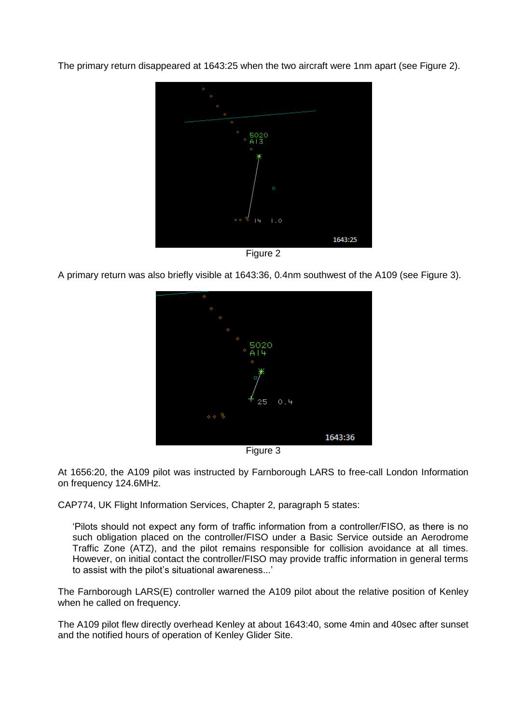The primary return disappeared at 1643:25 when the two aircraft were 1nm apart (see Figure 2).



Figure 2

A primary return was also briefly visible at 1643:36, 0.4nm southwest of the A109 (see Figure 3).



Figure 3

At 1656:20, the A109 pilot was instructed by Farnborough LARS to free-call London Information on frequency 124.6MHz.

CAP774, UK Flight Information Services, Chapter 2, paragraph 5 states:

'Pilots should not expect any form of traffic information from a controller/FISO, as there is no such obligation placed on the controller/FISO under a Basic Service outside an Aerodrome Traffic Zone (ATZ), and the pilot remains responsible for collision avoidance at all times. However, on initial contact the controller/FISO may provide traffic information in general terms to assist with the pilot's situational awareness...'

The Farnborough LARS(E) controller warned the A109 pilot about the relative position of Kenley when he called on frequency.

The A109 pilot flew directly overhead Kenley at about 1643:40, some 4min and 40sec after sunset and the notified hours of operation of Kenley Glider Site.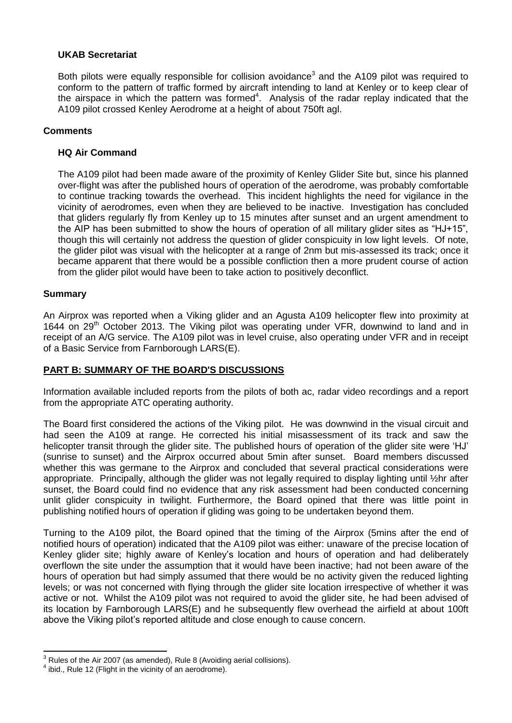## **UKAB Secretariat**

Both pilots were equally responsible for collision avoidance<sup>3</sup> and the A109 pilot was required to conform to the pattern of traffic formed by aircraft intending to land at Kenley or to keep clear of the airspace in which the pattern was formed<sup>4</sup>. Analysis of the radar replay indicated that the A109 pilot crossed Kenley Aerodrome at a height of about 750ft agl.

## **Comments**

## **HQ Air Command**

The A109 pilot had been made aware of the proximity of Kenley Glider Site but, since his planned over-flight was after the published hours of operation of the aerodrome, was probably comfortable to continue tracking towards the overhead. This incident highlights the need for vigilance in the vicinity of aerodromes, even when they are believed to be inactive. Investigation has concluded that gliders regularly fly from Kenley up to 15 minutes after sunset and an urgent amendment to the AIP has been submitted to show the hours of operation of all military glider sites as "HJ+15", though this will certainly not address the question of glider conspicuity in low light levels. Of note, the glider pilot was visual with the helicopter at a range of 2nm but mis-assessed its track; once it became apparent that there would be a possible confliction then a more prudent course of action from the glider pilot would have been to take action to positively deconflict.

#### **Summary**

 $\overline{\phantom{a}}$ 

An Airprox was reported when a Viking glider and an Agusta A109 helicopter flew into proximity at 1644 on  $29<sup>th</sup>$  October 2013. The Viking pilot was operating under VFR, downwind to land and in receipt of an A/G service. The A109 pilot was in level cruise, also operating under VFR and in receipt of a Basic Service from Farnborough LARS(E).

#### **PART B: SUMMARY OF THE BOARD'S DISCUSSIONS**

Information available included reports from the pilots of both ac, radar video recordings and a report from the appropriate ATC operating authority.

The Board first considered the actions of the Viking pilot. He was downwind in the visual circuit and had seen the A109 at range. He corrected his initial misassessment of its track and saw the helicopter transit through the glider site. The published hours of operation of the glider site were 'HJ' (sunrise to sunset) and the Airprox occurred about 5min after sunset. Board members discussed whether this was germane to the Airprox and concluded that several practical considerations were appropriate. Principally, although the glider was not legally required to display lighting until ½hr after sunset, the Board could find no evidence that any risk assessment had been conducted concerning unlit glider conspicuity in twilight. Furthermore, the Board opined that there was little point in publishing notified hours of operation if gliding was going to be undertaken beyond them.

Turning to the A109 pilot, the Board opined that the timing of the Airprox (5mins after the end of notified hours of operation) indicated that the A109 pilot was either: unaware of the precise location of Kenley glider site; highly aware of Kenley's location and hours of operation and had deliberately overflown the site under the assumption that it would have been inactive; had not been aware of the hours of operation but had simply assumed that there would be no activity given the reduced lighting levels; or was not concerned with flying through the glider site location irrespective of whether it was active or not. Whilst the A109 pilot was not required to avoid the glider site, he had been advised of its location by Farnborough LARS(E) and he subsequently flew overhead the airfield at about 100ft above the Viking pilot's reported altitude and close enough to cause concern.

 $3$  Rules of the Air 2007 (as amended), Rule 8 (Avoiding aerial collisions).

 $4$  ibid., Rule 12 (Flight in the vicinity of an aerodrome).